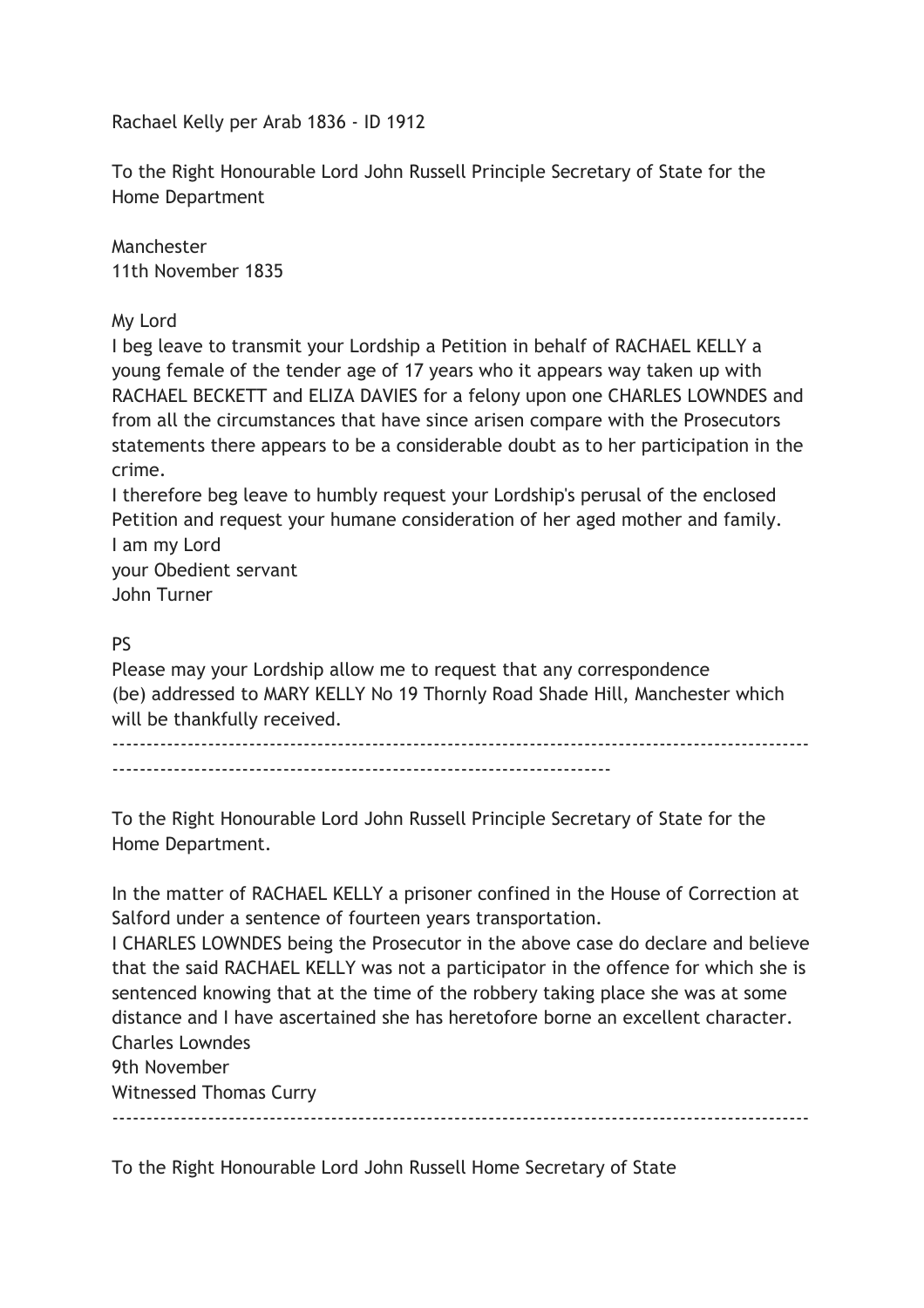Rachael Kelly per Arab 1836 - ID 1912

To the Right Honourable Lord John Russell Principle Secretary of State for the Home Department

Manchester 11th November 1835

My Lord

I beg leave to transmit your Lordship a Petition in behalf of RACHAEL KELLY a young female of the tender age of 17 years who it appears way taken up with RACHAEL BECKETT and ELIZA DAVIES for a felony upon one CHARLES LOWNDES and from all the circumstances that have since arisen compare with the Prosecutors statements there appears to be a considerable doubt as to her participation in the crime.

I therefore beg leave to humbly request your Lordship's perusal of the enclosed Petition and request your humane consideration of her aged mother and family. I am my Lord

your Obedient servant John Turner

## PS

Please may your Lordship allow me to request that any correspondence (be) addressed to MARY KELLY No 19 Thornly Road Shade Hill, Manchester which will be thankfully received.

------------------------------------------------------------------------------------------------------ -------------------------------------------------------------------------

To the Right Honourable Lord John Russell Principle Secretary of State for the Home Department.

In the matter of RACHAEL KELLY a prisoner confined in the House of Correction at Salford under a sentence of fourteen years transportation.

I CHARLES LOWNDES being the Prosecutor in the above case do declare and believe that the said RACHAEL KELLY was not a participator in the offence for which she is sentenced knowing that at the time of the robbery taking place she was at some distance and I have ascertained she has heretofore borne an excellent character. Charles Lowndes

------------------------------------------------------------------------------------------------------

9th November

Witnessed Thomas Curry

To the Right Honourable Lord John Russell Home Secretary of State